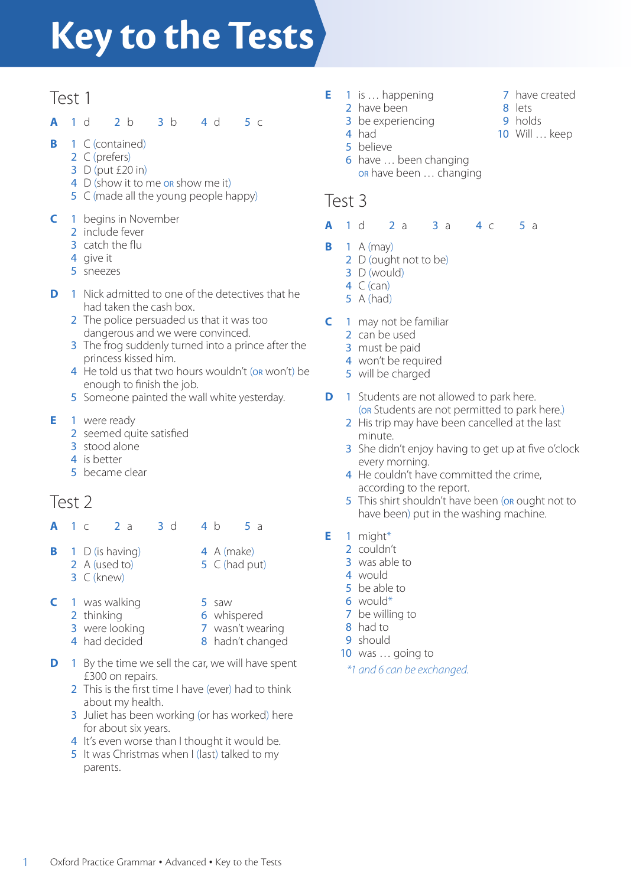# **Key to the Tests**

## Test 1

- **A** 1 d 2 b 3 b 4 d 5 c
- **B** 1 C (contained)
	- 2 C (prefers)
	- 3 D (put £20 in)
	- 4 D (show it to me or show me it)
	- 5 C (made all the young people happy)
- **C** 1 begins in November
	- 2 include fever
	- 3 catch the flu
	- 4 give it
	- 5 sneezes
- **D** 1 Nick admitted to one of the detectives that he had taken the cash box.
	- 2 The police persuaded us that it was too dangerous and we were convinced.
	- **3** The frog suddenly turned into a prince after the princess kissed him.
	- 4 He told us that two hours wouldn't (or won't) be enough to finish the job.
	- 5 Someone painted the wall white yesterday.
- **E** 1 were ready
	- 2 seemed quite satisfied
	- 3 stood alone
	- 4 is better
	- 5 became clear

## Test 2

- **A** 1 c 2 a 3 d 4 b 5 a
- **B** 1 D (is having) 2 A (used to)

3 C (knew)

- 4 A (make)
- 5 C (had put)
- **C** 1 was walking 5 saw
	- 2 thinking 6 whispered 7 wasn't wearing
	- 3 were looking 4 had decided
		- 8 hadn't changed
- **D** 1 By the time we sell the car, we will have spent £300 on repairs.
	- 2 This is the first time I have (ever) had to think about my health.
	- 3 Juliet has been working (or has worked) here for about six years.
	- 4 It's even worse than I thought it would be.
	- 5 It was Christmas when I (last) talked to my parents.
- **E** 1 is … happening
	- 2 have been
	- 3 be experiencing
	- 4 had
	- 5 believe
	- 6 have … been changing or have been … changing

#### Test 3

- **A** 1 d 2 a 3 a 4 c 5 a
- **B** 1 A (may)
	- 2 D (ought not to be)
	- 3 D (would)
	- $4$  C (can)
	- 5 A (had)
- **C** 1 may not be familiar
	- 2 can be used
	- 3 must be paid
	- 4 won't be required
	- 5 will be charged
- **D** 1 Students are not allowed to park here. (or Students are not permitted to park here.)
	- 2 His trip may have been cancelled at the last minute.
	- 3 She didn't enjoy having to get up at five o'clock every morning.
	- 4 He couldn't have committed the crime, according to the report.
	- 5 This shirt shouldn't have been (or ought not to have been) put in the washing machine.
- **E** 1 might\*
	- 2 couldn't
	- 3 was able to
	- 4 would
	- 5 be able to
	- 6 would\*
	- 7 be willing to
	- 8 had to
	- 9 should
	- 10 was ... going to
	- *\*1 and 6 can be exchanged.*
- 7 have created
- 8 lets 9 holds
- 10 Will … keep
-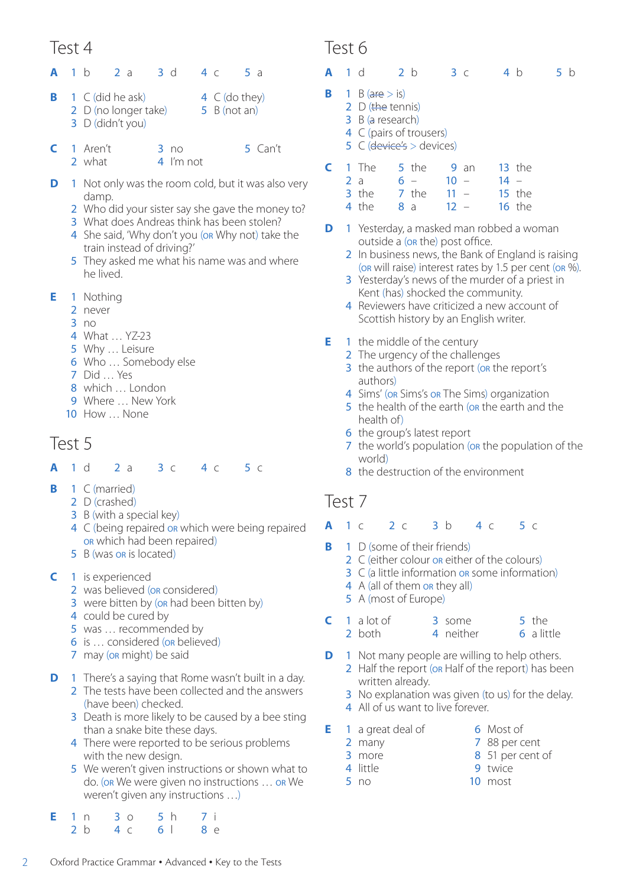- **A** 1 b 2 a 3 d 4 c 5 a
- **B C** (did he ask) 2 D (no longer take) 3 D (didn't you) 4 C (do they) 5 B (not an)
- **C** 1 Aren't 2 what 3 no 4 I'm not 5 Can't
- **D** 1 Not only was the room cold, but it was also very damp.
	- 2 Who did your sister say she gave the money to?
	- 3 What does Andreas think has been stolen?
	- 4 She said, 'Why don't you (or Why not) take the train instead of driving?'
	- 5 They asked me what his name was and where he lived.
- **E** 1 Nothing
	- 2 never
	- 3 no
	- 4 What … YZ-23
	- 5 Why … Leisure
	- 6 Who … Somebody else
	- 7 Did … Yes
	- 8 which … London
	- 9 Where ... New York
	- 10 How … None

#### Test 5

- **A** 1 d 2 a 3 c 4 c 5 c
- **B** 1 C (married)
	- 2 D (crashed)
	- 3 B (with a special key)
	- 4 C (being repaired or which were being repaired or which had been repaired)
	- 5 B (was on is located)
- **C** 1 is experienced
	- 2 was believed (or considered)
	- 3 were bitten by (or had been bitten by)
	- 4 could be cured by
	- 5 was … recommended by
	- 6 is ... considered (or believed)
	- 7 may (on might) be said
- **D** 1 There's a saying that Rome wasn't built in a day.
	- 2 The tests have been collected and the answers (have been) checked.
	- 3 Death is more likely to be caused by a bee sting than a snake bite these days.
	- 4 There were reported to be serious problems with the new design.
	- 5 We weren't given instructions or shown what to do. (or We were given no instructions … or We weren't given any instructions …)

|  | E 1 n 3 o 5 h | 7 i |
|--|---------------|-----|
|  | 2 b 4 c 61    | 8e  |

#### Test 6

- **A** 1 d 2 b 3 c 4 b 5 b
- **B** 1 B (are  $>$  is)
	- 2 D (the tennis)
	- 3 B (a research)
	- 4 C (pairs of trousers)
	- $5$  C (device's  $>$  devices)

| C. | 1 The   |    | 5 the |        | $9$ an |        | $13$ the |
|----|---------|----|-------|--------|--------|--------|----------|
|    | 2a      |    | $6 -$ | $10 -$ |        | $14 -$ |          |
|    | $3$ the |    | 7 the | $11 -$ |        |        | $15$ the |
|    | 4 the   | 8a |       | $12 -$ |        |        | $16$ the |

- **D** 1 Yesterday, a masked man robbed a woman outside a (or the) post office.
	- 2 In business news, the Bank of England is raising (or will raise) interest rates by 1.5 per cent (or %).
	- 3 Yesterday's news of the murder of a priest in Kent (has) shocked the community.
	- 4 Reviewers have criticized a new account of Scottish history by an English writer.
- **E** 1 the middle of the century
	- 2 The urgency of the challenges
	- 3 the authors of the report (or the report's authors)
	- 4 Sims' (on Sims's on The Sims) organization
	- 5 the health of the earth (on the earth and the health of)
	- 6 the group's latest report
	- 7 the world's population (or the population of the world)
	- 8 the destruction of the environment

#### Test 7

- **A** 1 c 2 c 3 b 4 c 5 c
- **B** 1 D (some of their friends)
	- 2 C (either colour on either of the colours)
	- 3 C (a little information or some information)
	- 4 A (all of them on they all)
	- 5 A (most of Europe)

|  | $\mathsf{C}$ 1 a lot of | 3 some    | 5 the      |
|--|-------------------------|-----------|------------|
|  | 2 both                  | 4 neither | 6 a little |

- **D** 1 Not many people are willing to help others. 2 Half the report (or Half of the report) has been written already.
	- 3 No explanation was given (to us) for the delay. 4 All of us want to live forever.
- **E** 1 a great deal of

2 many 3 more

- 6 Most of 7 88 per cent
- 
- 4 little
- 5 no
- 8 51 per cent of
- 9 twice
- 10 most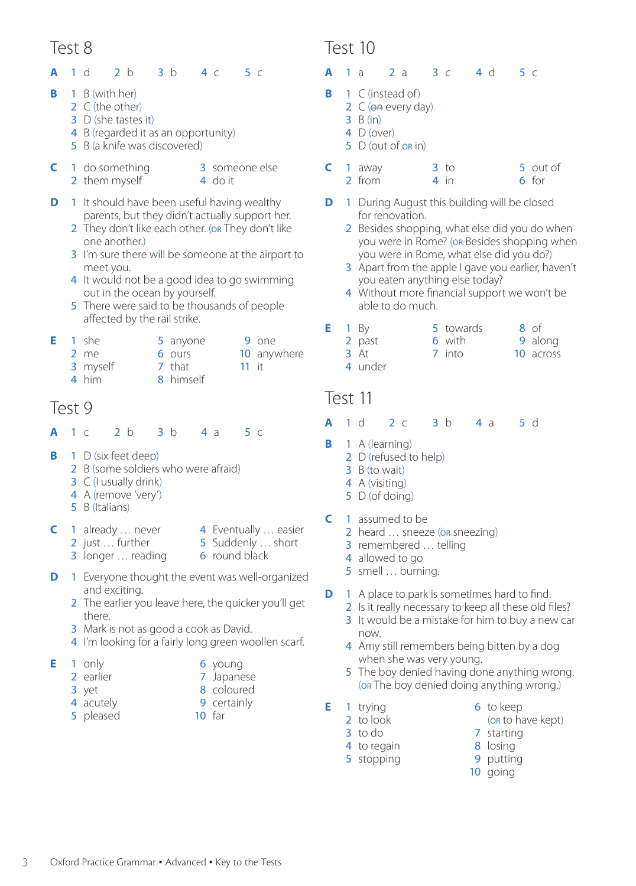#### **A** 1 d 2 b 3 b 4 c 5 c

- **B** 1 B (with her)
	- 2 C (the other)
	- 3 D (she tastes it)
	- 4 B (regarded it as an opportunity)
	- 5 B (a knife was discovered)
- **C** 1 do something 2 them myself
	- 3 someone else 4 do it
- **D** 1 It should have been useful having wealthy parents, but they didn't actually support her.
	- 2 They don't like each other. (or They don't like one another.)
	- 3 I'm sure there will be someone at the airport to meet you.
	- 4 It would not be a good idea to go swimming out in the ocean by yourself.
	- 5 There were said to be thousands of people affected by the rail strike.

|  | $E = 1$ she | 5 anyone  |         | 9 one       |
|--|-------------|-----------|---------|-------------|
|  | $2$ me      | 6 ours    |         | 10 anywhere |
|  | 3 myself    | 7 that    | $11$ it |             |
|  | 4 him       | 8 himself |         |             |

4 him

## Test 9

- **A** 1 c 2 b 3 b 4 a 5 c
- **B** 1 D (six feet deep)
	- 2 B (some soldiers who were afraid)
	- 3 C (I usually drink)
	- 4 A (remove 'very')
	- 5 B (Italians)
- **C** 1 already … never
- 4 Eventually … easier 5 Suddenly … short
- 2 just … further 3 longer … reading
	-
- **D** 1 Everyone thought the event was well-organized and exciting.
	- 2 The earlier you leave here, the quicker you'll get there.
	- 3 Mark is not as good a cook as David.
	- 4 I'm looking for a fairly long green woollen scarf.
- **E** 1 only
	- 2 earlier
	- 3 yet
	- 4 acutely
	- 5 pleased
- 6 round black
- 
- 
- 
- - 6 young
		- 7 Japanese
		- 8 coloured
		- 9 certainly
	- 10 far

### Test 10

- **A** 1 a 2 a 3 c 4 d 5 c
- **B** 1 C (instead of)
	- 2 C (on every day)
	- 3 B (in)
	- 4 D (over) 5 D (out of or in)
- **C** 1 away 2 from  $3$  to 4 in 5 out of 6 for
- **D** 1 During August this building will be closed for renovation.
	- 2 Besides shopping, what else did you do when you were in Rome? (or Besides shopping when you were in Rome, what else did you do?)
	- 3 Apart from the apple I gave you earlier, haven't you eaten anything else today?
	- 4 Without more financial support we won't be able to do much.
- **E** 1 By 2 past 5 towards 6 with 8 of 9 along
	- 3 At 7 into 10 across
	- 4 under

#### Test 11

- **A** 1 d 2 c 3 b 4 a 5 d
- **B** 1 A (learning)
	- 2 D (refused to help)
	- 3 B (to wait)
	- 4 A (visiting)
	- 5 D (of doing)
- **C** 1 assumed to be
	- 2 heard ... sneeze (or sneezing)
	- 3 remembered … telling
	- 4 allowed to go
	- 5 smell … burning.
- **D** 1 A place to park is sometimes hard to find.
	- 2 Is it really necessary to keep all these old files?
	- 3 It would be a mistake for him to buy a new car now.
	- 4 Amy still remembers being bitten by a dog when she was very young.
	- 5 The boy denied having done anything wrong. (or The boy denied doing anything wrong.)
- **E** 1 trying
	- 2 to look
	- 3 to do
- 7 starting 8 losing
- 4 to regain 5 stopping
- 9 putting 10 going

6 to keep

(or to have kept)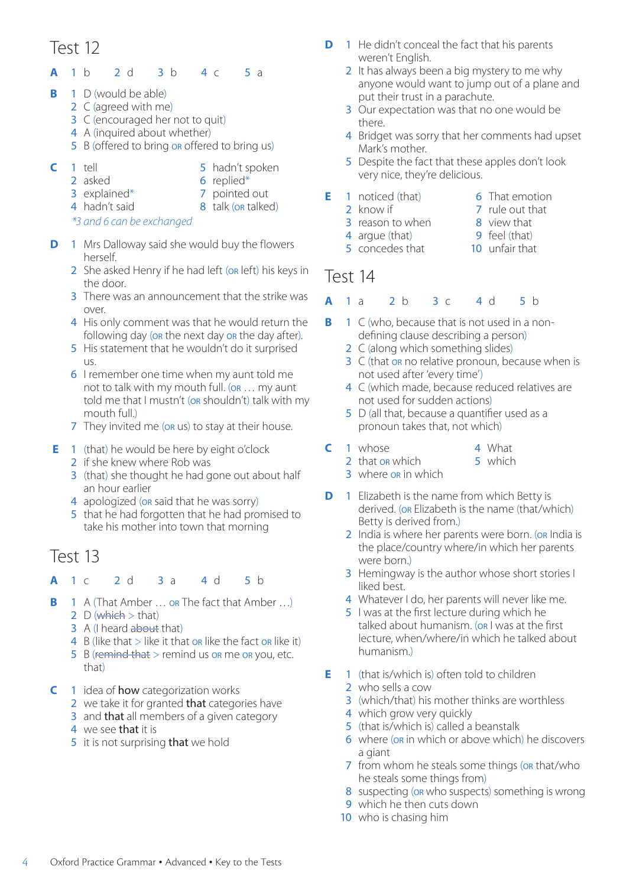#### **A** 1 b 2 d 3 b 4 c 5 a

- **B** 1 D (would be able)
	- 2 C (agreed with me)
	- 3 C (encouraged her not to quit)
	- 4 A (inquired about whether)
	- 5 B (offered to bring or offered to bring us)
- **C** 1 tell
- 5 hadn't spoken
- 2 asked
- 6 replied\*
- 3 explained\* 4 hadn't said
- 7 pointed out 8 talk (or talked)
- *\*3 and 6 can be exchanged*
- 1 Mrs Dalloway said she would buy the flowers herself.
	- 2 She asked Henry if he had left (on left) his keys in the door.
	- 3 There was an announcement that the strike was over.
	- 4 His only comment was that he would return the following day (or the next day or the day after).
	- 5 His statement that he wouldn't do it surprised us.
	- 6 I remember one time when my aunt told me not to talk with my mouth full. (or … my aunt told me that I mustn't (or shouldn't) talk with my mouth full.)
	- 7 They invited me (or us) to stay at their house.
- **E** 1 (that) he would be here by eight o'clock
	- 2 if she knew where Rob was
	- 3 (that) she thought he had gone out about half an hour earlier
	- 4 apologized (or said that he was sorry)
	- 5 that he had forgotten that he had promised to take his mother into town that morning

## Test 13

- **A** 1 c 2 d 3 a 4 d 5 b
- **B** A (That Amber ... or The fact that Amber ...) 2 D (which  $>$  that)
	- 3 A (I heard about that)
	- 4 B (like that  $>$  like it that or like the fact or like it)
	- 5 B (remind that  $>$  remind us or me or you, etc. that)
- **C** 1 idea of **how** categorization works
	- 2 we take it for granted that categories have
	- 3 and that all members of a given category
	- 4 we see that it is
	- 5 it is not surprising that we hold
- **D** 1 He didn't conceal the fact that his parents weren't English.
	- 2 It has always been a big mystery to me why anyone would want to jump out of a plane and put their trust in a parachute.
	- 3 Our expectation was that no one would be there.
	- 4 Bridget was sorry that her comments had upset Mark's mother.
	- 5 Despite the fact that these apples don't look very nice, they're delicious.
- **E** 1 noticed (that) 2 know if
	- 6 That emotion 7 rule out that
	- 3 reason to when
- 8 view that
- 4 argue (that) 5 concedes that
- 9 feel (that) 10 unfair that
- 
- Test 14

#### **A** 1 a 2 b 3 c 4 d 5 b

- **B** 1 C (who, because that is not used in a nondefining clause describing a person)
	- 2 C (along which something slides)
	- 3 C (that or no relative pronoun, because when is not used after 'every time')
	- 4 C (which made, because reduced relatives are not used for sudden actions)
	- 5 D (all that, because a quantifier used as a pronoun takes that, not which)
- **C** 1 whose
- 4 What 5 which
- 2 that or which 3 where or in which
- **D** 1 Elizabeth is the name from which Betty is derived. (or Elizabeth is the name (that/which) Betty is derived from.)
	- 2 India is where her parents were born. (OR India is the place/country where/in which her parents were born.)
	- 3 Hemingway is the author whose short stories I liked best.
	- 4 Whatever I do, her parents will never like me.
	- 5 I was at the first lecture during which he talked about humanism. (OR I was at the first lecture, when/where/in which he talked about humanism.)
- **E** 1 (that is/which is) often told to children
	- 2 who sells a cow
	- 3 (which/that) his mother thinks are worthless
	- 4 which grow very quickly
	- 5 (that is/which is) called a beanstalk
	- 6 where (or in which or above which) he discovers a giant
	- 7 from whom he steals some things (or that/who he steals some things from)
	- 8 suspecting (or who suspects) something is wrong
	- 9 which he then cuts down
	- 10 who is chasing him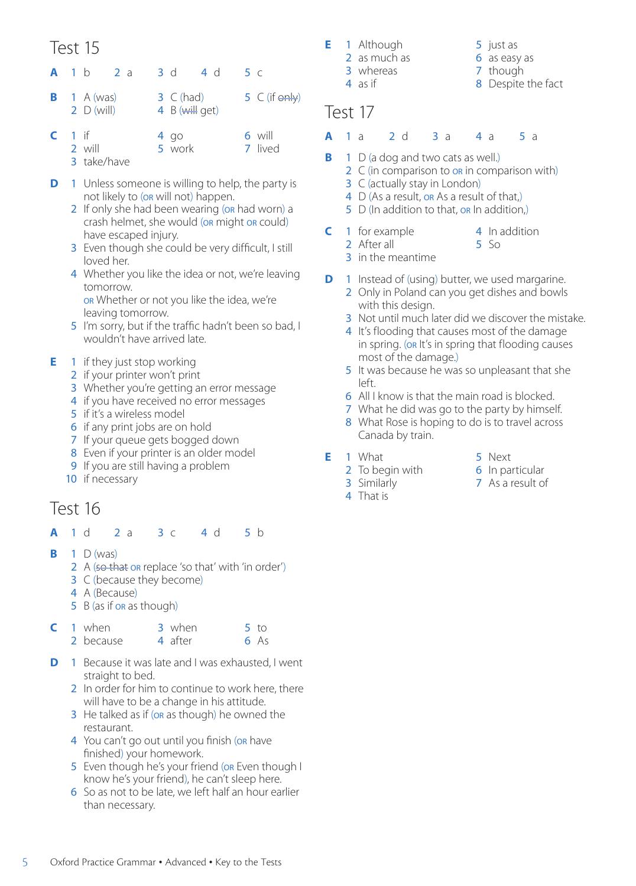|                                  | <b>A</b> 1 b 2 a | 3 d           | 4 d             | 5 C |                            |
|----------------------------------|------------------|---------------|-----------------|-----|----------------------------|
| <b>B</b> 1 A (was)<br>2 D (will) |                  | $3 \in (had)$ | 4 $B(will qet)$ |     | $5 \, C$ (if $\Theta$ nly) |
|                                  |                  |               |                 |     |                            |

- **C** 1 if 2 will 3 take/have 4 go 5 work 6 will 7 lived
- **D** 1 Unless someone is willing to help, the party is not likely to (or will not) happen.
	- 2 If only she had been wearing (or had worn) a crash helmet, she would (or might or could) have escaped injury.
	- 3 Even though she could be very difficult, I still loved her.
	- 4 Whether you like the idea or not, we're leaving tomorrow. or Whether or not you like the idea, we're leaving tomorrow.
	- 5 I'm sorry, but if the traffic hadn't been so bad, I wouldn't have arrived late.

#### **E** 1 if they just stop working

- 2 if your printer won't print
- 3 Whether you're getting an error message
- 4 if you have received no error messages
- 5 if it's a wireless model
- 6 if any print jobs are on hold
- 7 If your queue gets bogged down
- 8 Even if your printer is an older model
- 9 If you are still having a problem
- 10 if necessary

## Test 16

- **A** 1 d 2 a 3 c 4 d 5 b
- **B** 1 D (was)
	- 2 A (so that or replace 'so that' with 'in order')
	- 3 C (because they become)
	- 4 A (Because)
	- 5 B (as if or as though)

|  | $C1$ when | 3 when  | 5 <sub>to</sub> |
|--|-----------|---------|-----------------|
|  | 2 because | 4 after | 6As             |

- **D** 1 Because it was late and I was exhausted, I went straight to bed.
	- 2 In order for him to continue to work here, there will have to be a change in his attitude.
	- 3 He talked as if (or as though) he owned the restaurant.
	- 4 You can't go out until you finish (or have finished) your homework.
	- 5 Even though he's your friend (or Even though I know he's your friend), he can't sleep here.
	- 6 So as not to be late, we left half an hour earlier than necessary.

**E** 1 Although 2 as much as 3 whereas

4 as if

- 5 just as
- 6 as easy as
- 7 though
- 8 Despite the fact

#### Test 17

- **A** 1 a 2 d 3 a 4 a 5 a
- **B** 1 D (a dog and two cats as well.)
	- 2 C (in comparison to or in comparison with)
		- 3 C (actually stay in London)
		- 4 D (As a result, on As a result of that.)
		- 5 D (In addition to that, or In addition,)
- **C** 1 for example
	- 2 After all
- 4 In addition 5 So
- 3 in the meantime
- **D** 1 Instead of (using) butter, we used margarine.
	- 2 Only in Poland can you get dishes and bowls with this design.
	- 3 Not until much later did we discover the mistake.
	- 4 It's flooding that causes most of the damage in spring. (or It's in spring that flooding causes most of the damage.)
	- 5 It was because he was so unpleasant that she left.
	- 6 All I know is that the main road is blocked.
	- 7 What he did was go to the party by himself.
	- 8 What Rose is hoping to do is to travel across Canada by train.
- **E** 1 What
- 5 Next
- 2 To begin with 6 In particular
	- 7 As a result of
- 3 Similarly 4 That is
- 
-